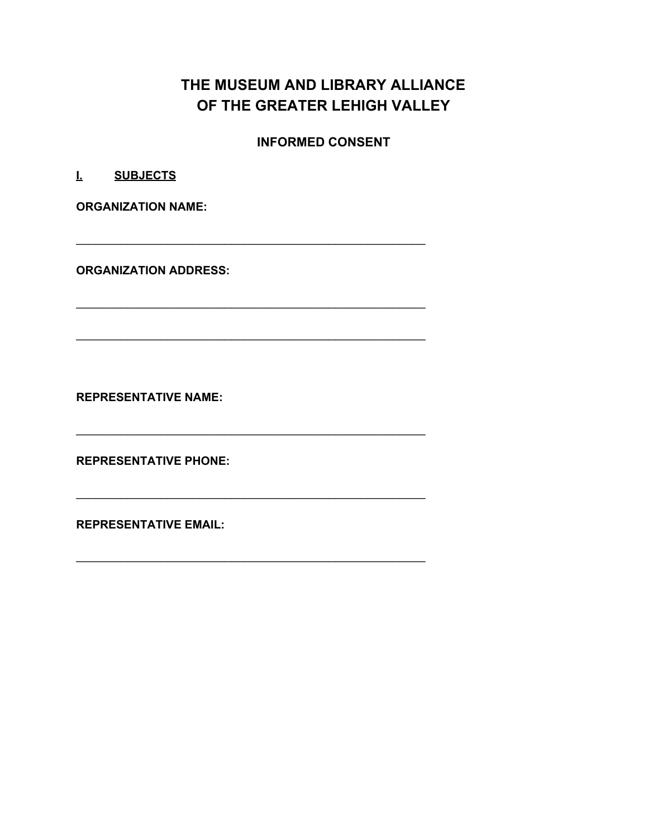# **THE MUSEUM AND LIBRARY ALLIANCE OF THE GREATER LEHIGH VALLEY**

**INFORMED CONSENT**

\_\_\_\_\_\_\_\_\_\_\_\_\_\_\_\_\_\_\_\_\_\_\_\_\_\_\_\_\_\_\_\_\_\_\_\_\_\_\_\_\_\_\_\_\_\_\_\_\_\_\_\_\_\_

\_\_\_\_\_\_\_\_\_\_\_\_\_\_\_\_\_\_\_\_\_\_\_\_\_\_\_\_\_\_\_\_\_\_\_\_\_\_\_\_\_\_\_\_\_\_\_\_\_\_\_\_\_\_

 $\ldots$  . The contribution of the contribution of the contribution of the contribution of the contribution of the contribution of  $\alpha$ 

\_\_\_\_\_\_\_\_\_\_\_\_\_\_\_\_\_\_\_\_\_\_\_\_\_\_\_\_\_\_\_\_\_\_\_\_\_\_\_\_\_\_\_\_\_\_\_\_\_\_\_\_\_\_

\_\_\_\_\_\_\_\_\_\_\_\_\_\_\_\_\_\_\_\_\_\_\_\_\_\_\_\_\_\_\_\_\_\_\_\_\_\_\_\_\_\_\_\_\_\_\_\_\_\_\_\_\_\_

**I. SUBJECTS**

**ORGANIZATION NAME:**

**ORGANIZATION ADDRESS:**

**REPRESENTATIVE NAME:**

**REPRESENTATIVE PHONE:**

**REPRESENTATIVE EMAIL:**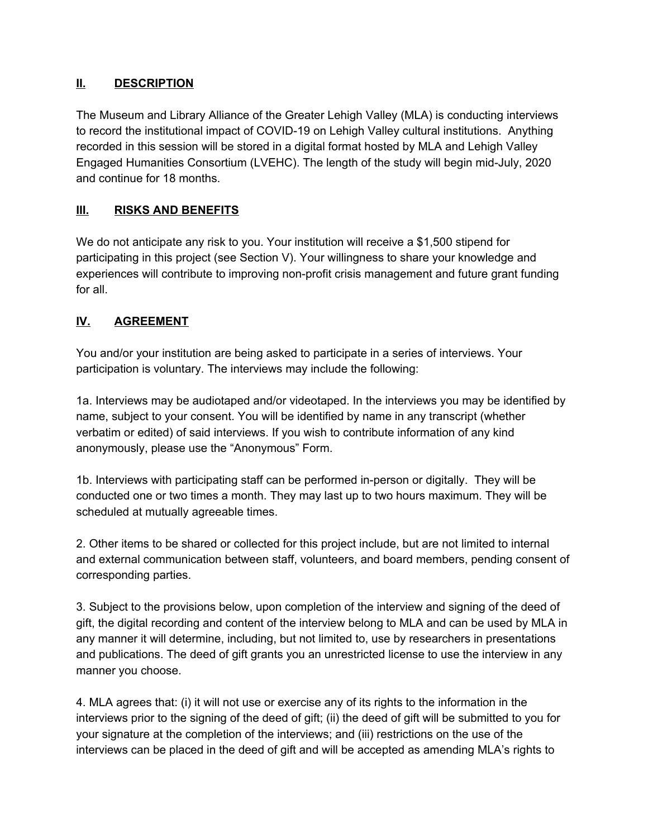# **II. DESCRIPTION**

The Museum and Library Alliance of the Greater Lehigh Valley (MLA) is conducting interviews to record the institutional impact of COVID-19 on Lehigh Valley cultural institutions. Anything recorded in this session will be stored in a digital format hosted by MLA and Lehigh Valley Engaged Humanities Consortium (LVEHC). The length of the study will begin mid-July, 2020 and continue for 18 months.

# **III. RISKS AND BENEFITS**

We do not anticipate any risk to you. Your institution will receive a \$1,500 stipend for participating in this project (see Section V). Your willingness to share your knowledge and experiences will contribute to improving non-profit crisis management and future grant funding for all.

#### **IV. AGREEMENT**

You and/or your institution are being asked to participate in a series of interviews. Your participation is voluntary. The interviews may include the following:

1a. Interviews may be audiotaped and/or videotaped. In the interviews you may be identified by name, subject to your consent. You will be identified by name in any transcript (whether verbatim or edited) of said interviews. If you wish to contribute information of any kind anonymously, please use the "Anonymous" Form.

1b. Interviews with participating staff can be performed in-person or digitally. They will be conducted one or two times a month. They may last up to two hours maximum. They will be scheduled at mutually agreeable times.

2. Other items to be shared or collected for this project include, but are not limited to internal and external communication between staff, volunteers, and board members, pending consent of corresponding parties.

3. Subject to the provisions below, upon completion of the interview and signing of the deed of gift, the digital recording and content of the interview belong to MLA and can be used by MLA in any manner it will determine, including, but not limited to, use by researchers in presentations and publications. The deed of gift grants you an unrestricted license to use the interview in any manner you choose.

4. MLA agrees that: (i) it will not use or exercise any of its rights to the information in the interviews prior to the signing of the deed of gift; (ii) the deed of gift will be submitted to you for your signature at the completion of the interviews; and (iii) restrictions on the use of the interviews can be placed in the deed of gift and will be accepted as amending MLA's rights to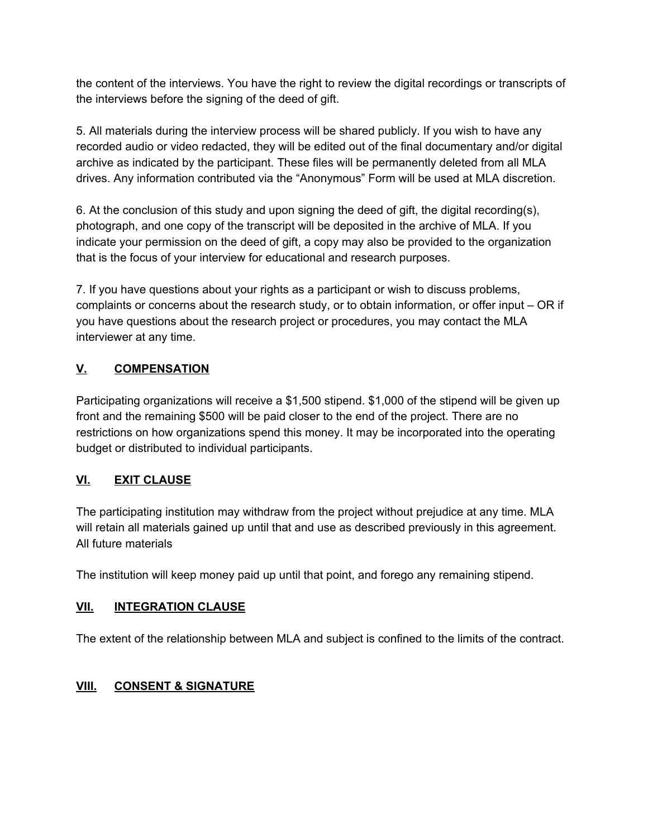the content of the interviews. You have the right to review the digital recordings or transcripts of the interviews before the signing of the deed of gift.

5. All materials during the interview process will be shared publicly. If you wish to have any recorded audio or video redacted, they will be edited out of the final documentary and/or digital archive as indicated by the participant. These files will be permanently deleted from all MLA drives. Any information contributed via the "Anonymous" Form will be used at MLA discretion.

6. At the conclusion of this study and upon signing the deed of gift, the digital recording(s), photograph, and one copy of the transcript will be deposited in the archive of MLA. If you indicate your permission on the deed of gift, a copy may also be provided to the organization that is the focus of your interview for educational and research purposes.

7. If you have questions about your rights as a participant or wish to discuss problems, complaints or concerns about the research study, or to obtain information, or offer input – OR if you have questions about the research project or procedures, you may contact the MLA interviewer at any time.

# **V. COMPENSATION**

Participating organizations will receive a \$1,500 stipend. \$1,000 of the stipend will be given up front and the remaining \$500 will be paid closer to the end of the project. There are no restrictions on how organizations spend this money. It may be incorporated into the operating budget or distributed to individual participants.

# **VI. EXIT CLAUSE**

The participating institution may withdraw from the project without prejudice at any time. MLA will retain all materials gained up until that and use as described previously in this agreement. All future materials

The institution will keep money paid up until that point, and forego any remaining stipend.

# **VII. INTEGRATION CLAUSE**

The extent of the relationship between MLA and subject is confined to the limits of the contract.

# **VIII. CONSENT & SIGNATURE**